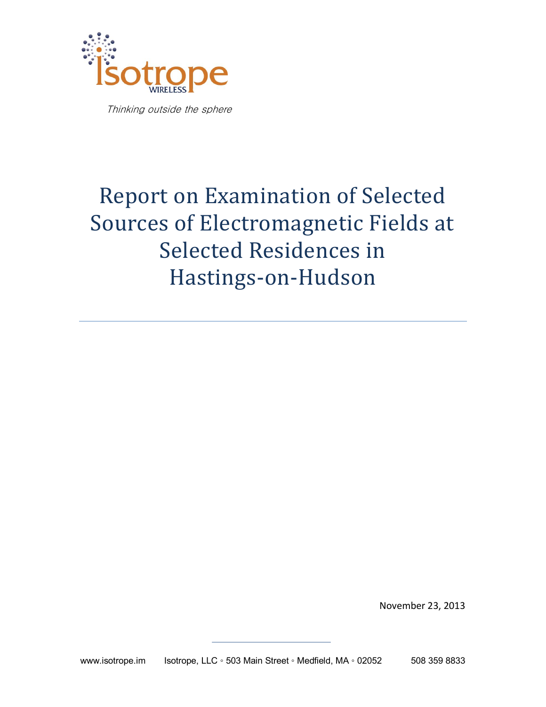

Thinking outside the sphere

# Report on Examination of Selected Sources of Electromagnetic Fields at Selected Residences in Hastings-on-Hudson

November 23, 2013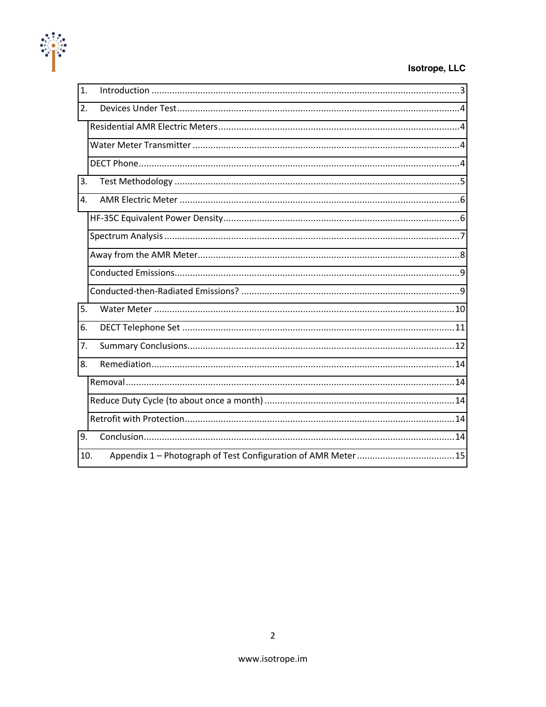

#### Isotrope, LLC

| $\mathbf{1}$ . |  |  |  |  |
|----------------|--|--|--|--|
| 2.             |  |  |  |  |
|                |  |  |  |  |
|                |  |  |  |  |
|                |  |  |  |  |
| 3.             |  |  |  |  |
| 4.             |  |  |  |  |
|                |  |  |  |  |
|                |  |  |  |  |
|                |  |  |  |  |
|                |  |  |  |  |
|                |  |  |  |  |
| 5.             |  |  |  |  |
| 6.             |  |  |  |  |
| 7.             |  |  |  |  |
| 8.             |  |  |  |  |
|                |  |  |  |  |
|                |  |  |  |  |
|                |  |  |  |  |
| 9.             |  |  |  |  |
| 10.            |  |  |  |  |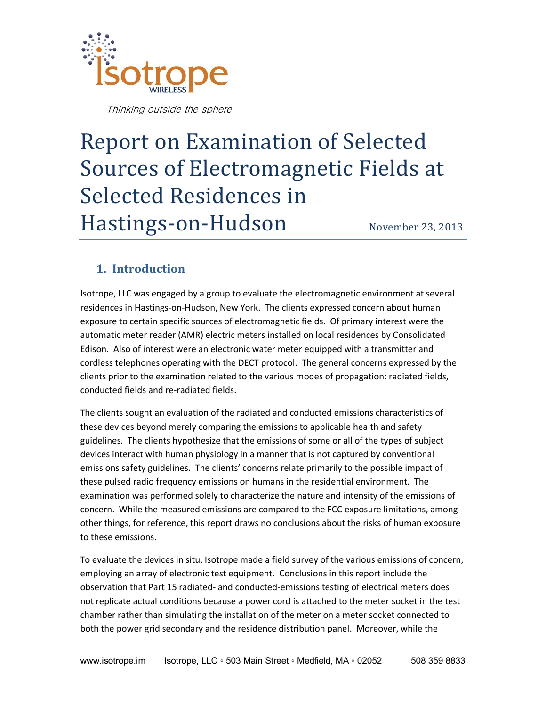

Thinking outside the sphere

# Report on Examination of Selected Sources of Electromagnetic Fields at Selected Residences in Hastings-on-Hudson November 23, 2013

## <span id="page-2-0"></span>**1. Introduction**

Isotrope, LLC was engaged by a group to evaluate the electromagnetic environment at several residences in Hastings-on-Hudson, New York. The clients expressed concern about human exposure to certain specific sources of electromagnetic fields. Of primary interest were the automatic meter reader (AMR) electric meters installed on local residences by Consolidated Edison. Also of interest were an electronic water meter equipped with a transmitter and cordless telephones operating with the DECT protocol. The general concerns expressed by the clients prior to the examination related to the various modes of propagation: radiated fields, conducted fields and re-radiated fields.

The clients sought an evaluation of the radiated and conducted emissions characteristics of these devices beyond merely comparing the emissions to applicable health and safety guidelines. The clients hypothesize that the emissions of some or all of the types of subject devices interact with human physiology in a manner that is not captured by conventional emissions safety guidelines. The clients' concerns relate primarily to the possible impact of these pulsed radio frequency emissions on humans in the residential environment. The examination was performed solely to characterize the nature and intensity of the emissions of concern. While the measured emissions are compared to the FCC exposure limitations, among other things, for reference, this report draws no conclusions about the risks of human exposure to these emissions.

To evaluate the devices in situ, Isotrope made a field survey of the various emissions of concern, employing an array of electronic test equipment. Conclusions in this report include the observation that Part 15 radiated- and conducted-emissions testing of electrical meters does not replicate actual conditions because a power cord is attached to the meter socket in the test chamber rather than simulating the installation of the meter on a meter socket connected to both the power grid secondary and the residence distribution panel. Moreover, while the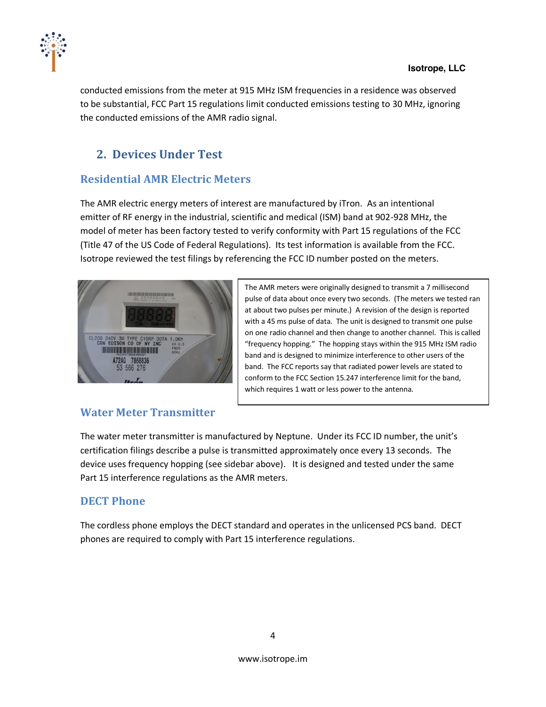

conducted emissions from the meter at 915 MHz ISM frequencies in a residence was observed to be substantial, FCC Part 15 regulations limit conducted emissions testing to 30 MHz, ignoring the conducted emissions of the AMR radio signal.

# <span id="page-3-0"></span>**2. Devices Under Test**

# <span id="page-3-1"></span>**Residential,AMR,Electric,Meters**

The AMR electric energy meters of interest are manufactured by iTron. As an intentional emitter of RF energy in the industrial, scientific and medical (ISM) band at 902-928 MHz, the model of meter has been factory tested to verify conformity with Part 15 regulations of the FCC (Title 47 of the US Code of Federal Regulations). Its test information is available from the FCC. Isotrope reviewed the test filings by referencing the FCC ID number posted on the meters.



The AMR meters were originally designed to transmit a 7 millisecond pulse of data about once every two seconds. (The meters we tested ran at about two pulses per minute.) A revision of the design is reported with a 45 ms pulse of data. The unit is designed to transmit one pulse on one radio channel and then change to another channel. This is called "frequency hopping." The hopping stays within the 915 MHz ISM radio band and is designed to minimize interference to other users of the band. The FCC reports say that radiated power levels are stated to conform to the FCC Section 15.247 interference limit for the band, which requires 1 watt or less power to the antenna.

# <span id="page-3-2"></span>**Water Meter Transmitter**

The water meter transmitter is manufactured by Neptune. Under its FCC ID number, the unit's certification filings describe a pulse is transmitted approximately once every 13 seconds. The device uses frequency hopping (see sidebar above). It is designed and tested under the same Part 15 interference regulations as the AMR meters.

# <span id="page-3-3"></span>**DECT** Phone

The cordless phone employs the DECT standard and operates in the unlicensed PCS band. DECT phones are required to comply with Part 15 interference regulations.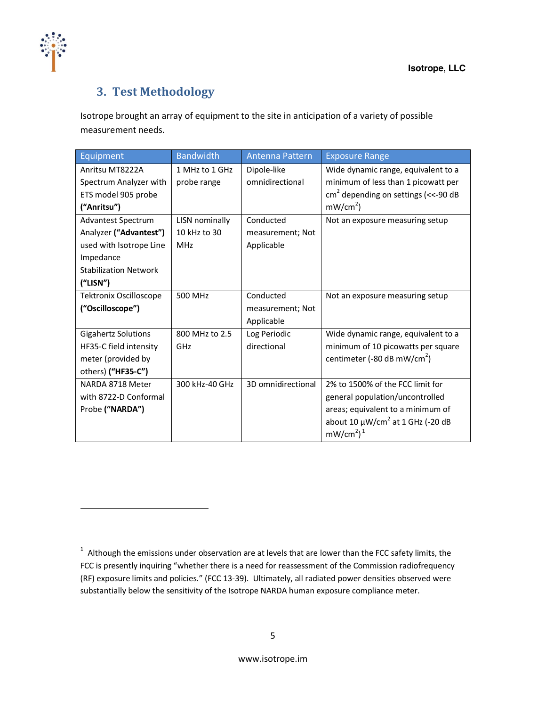

# <span id="page-4-0"></span>**3. Test,Methodology**

!!!!!!!!!!!!!!!!!!!!!!!!!!!!!!!!!!!!!!!!!!!!!!!!!!!!!!!!!!!!

Isotrope brought an array of equipment to the site in anticipation of a variety of possible measurement needs.

| Equipment                     | <b>Bandwidth</b> | Antenna Pattern    | <b>Exposure Range</b>                             |
|-------------------------------|------------------|--------------------|---------------------------------------------------|
| Anritsu MT8222A               | 1 MHz to 1 GHz   | Dipole-like        | Wide dynamic range, equivalent to a               |
| Spectrum Analyzer with        | probe range      | omnidirectional    | minimum of less than 1 picowatt per               |
| ETS model 905 probe           |                  |                    | $cm2$ depending on settings (<<-90 dB             |
| ("Anritsu")                   |                  |                    | $mW/cm2$ )                                        |
| Advantest Spectrum            | LISN nominally   | Conducted          | Not an exposure measuring setup                   |
| Analyzer ("Advantest")        | 10 kHz to 30     | measurement; Not   |                                                   |
| used with Isotrope Line       | MHz              | Applicable         |                                                   |
| Impedance                     |                  |                    |                                                   |
| <b>Stabilization Network</b>  |                  |                    |                                                   |
| (''LISN")                     |                  |                    |                                                   |
| <b>Tektronix Oscilloscope</b> | 500 MHz          | Conducted          | Not an exposure measuring setup                   |
| ("Oscilloscope")              |                  | measurement; Not   |                                                   |
|                               |                  | Applicable         |                                                   |
| <b>Gigahertz Solutions</b>    | 800 MHz to 2.5   | Log Periodic       | Wide dynamic range, equivalent to a               |
| HF35-C field intensity        | GHz              | directional        | minimum of 10 picowatts per square                |
| meter (provided by            |                  |                    | centimeter (-80 dB mW/cm <sup>2</sup> )           |
| others) ("HF35-C")            |                  |                    |                                                   |
| NARDA 8718 Meter              | 300 kHz-40 GHz   | 3D omnidirectional | 2% to 1500% of the FCC limit for                  |
| with 8722-D Conformal         |                  |                    | general population/uncontrolled                   |
| Probe ("NARDA")               |                  |                    | areas; equivalent to a minimum of                 |
|                               |                  |                    | about 10 $\mu$ W/cm <sup>2</sup> at 1 GHz (-20 dB |
|                               |                  |                    | mW/cm <sup>2</sup> ) <sup>1</sup>                 |

 $1$  Although the emissions under observation are at levels that are lower than the FCC safety limits, the FCC is presently inquiring "whether there is a need for reassessment of the Commission radiofrequency (RF) exposure limits and policies." (FCC 13-39). Ultimately, all radiated power densities observed were substantially below the sensitivity of the Isotrope NARDA human exposure compliance meter.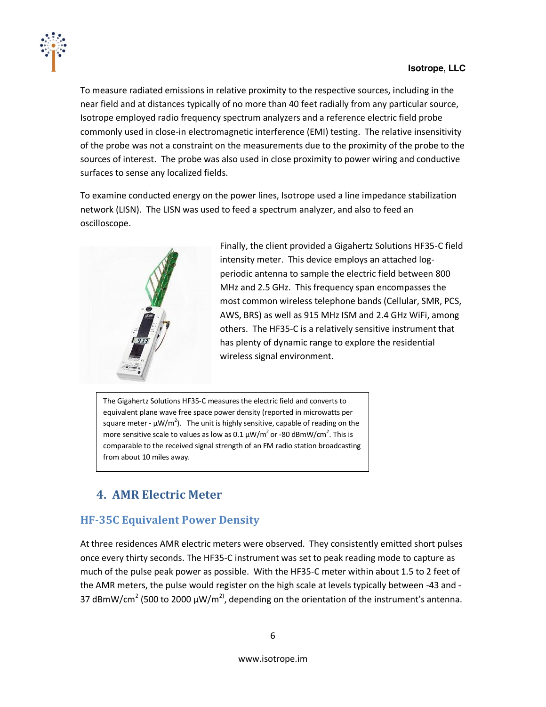

To measure radiated emissions in relative proximity to the respective sources, including in the near field and at distances typically of no more than 40 feet radially from any particular source, Isotrope employed radio frequency spectrum analyzers and a reference electric field probe commonly used in close-in electromagnetic interference (EMI) testing. The relative insensitivity of the probe was not a constraint on the measurements due to the proximity of the probe to the sources of interest. The probe was also used in close proximity to power wiring and conductive surfaces to sense any localized fields.

To examine conducted energy on the power lines, Isotrope used a line impedance stabilization network (LISN). The LISN was used to feed a spectrum analyzer, and also to feed an oscilloscope.



Finally, the client provided a Gigahertz Solutions HF35-C field intensity meter. This device employs an attached logperiodic antenna to sample the electric field between 800 MHz and 2.5 GHz. This frequency span encompasses the most common wireless telephone bands (Cellular, SMR, PCS, AWS, BRS) as well as 915 MHz ISM and 2.4 GHz WiFi, among others. The HF35-C is a relatively sensitive instrument that has plenty of dynamic range to explore the residential wireless signal environment.

The Gigahertz Solutions HF35-C measures the electric field and converts to equivalent plane wave free space power density (reported in microwatts per square meter -  $\mu$ W/m<sup>2</sup>). The unit is highly sensitive, capable of reading on the more sensitive scale to values as low as 0.1  $\mu$ W/m<sup>2</sup> or -80 dBmW/cm<sup>2</sup>. This is comparable to the received signal strength of an FM radio station broadcasting from about 10 miles away.

# <span id="page-5-0"></span>**4. AMR,Electric,Meter**

#### <span id="page-5-1"></span>**HF-35C Equivalent Power Density**

At three residences AMR electric meters were observed. They consistently emitted short pulses once every thirty seconds. The HF35-C instrument was set to peak reading mode to capture as much of the pulse peak power as possible. With the HF35-C meter within about 1.5 to 2 feet of the AMR meters, the pulse would register on the high scale at levels typically between -43 and -37 dBmW/cm<sup>2</sup> (500 to 2000  $\mu$ W/m<sup>2)</sup>, depending on the orientation of the instrument's antenna.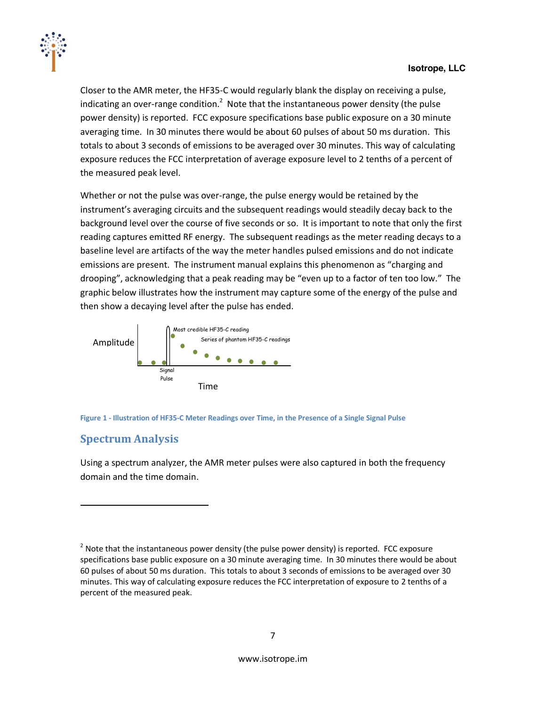

Closer to the AMR meter, the HF35-C would regularly blank the display on receiving a pulse, indicating an over-range condition.<sup>2</sup> Note that the instantaneous power density (the pulse power density) is reported. FCC exposure specifications base public exposure on a 30 minute averaging time. In 30 minutes there would be about 60 pulses of about 50 ms duration. This totals to about 3 seconds of emissions to be averaged over 30 minutes. This way of calculating exposure reduces the FCC interpretation of average exposure level to 2 tenths of a percent of the measured peak level.

Whether or not the pulse was over-range, the pulse energy would be retained by the instrument's averaging circuits and the subsequent readings would steadily decay back to the background level over the course of five seconds or so. It is important to note that only the first reading captures emitted RF energy. The subsequent readings as the meter reading decays to a baseline level are artifacts of the way the meter handles pulsed emissions and do not indicate emissions are present. The instrument manual explains this phenomenon as "charging and drooping", acknowledging that a peak reading may be "even up to a factor of ten too low." The graphic below illustrates how the instrument may capture some of the energy of the pulse and then show a decaying level after the pulse has ended.





# <span id="page-6-0"></span>**Spectrum,Analysis**

!!!!!!!!!!!!!!!!!!!!!!!!!!!!!!!!!!!!!!!!!!!!!!!!!!!!!!!!!!!!

Using a spectrum analyzer, the AMR meter pulses were also captured in both the frequency domain and the time domain.

<sup>&</sup>lt;sup>2</sup> Note that the instantaneous power density (the pulse power density) is reported. FCC exposure specifications base public exposure on a 30 minute averaging time. In 30 minutes there would be about 60 pulses of about 50 ms duration. This totals to about 3 seconds of emissions to be averaged over 30 minutes. This way of calculating exposure reduces the FCC interpretation of exposure to 2 tenths of a percent of the measured peak.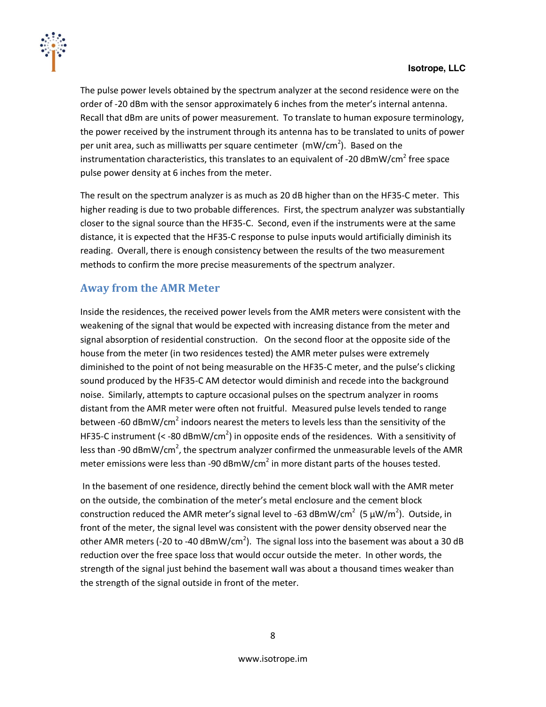

The pulse power levels obtained by the spectrum analyzer at the second residence were on the order of -20 dBm with the sensor approximately 6 inches from the meter's internal antenna. Recall that dBm are units of power measurement. To translate to human exposure terminology, the power received by the instrument through its antenna has to be translated to units of power per unit area, such as milliwatts per square centimeter (mW/cm<sup>2</sup>). Based on the instrumentation characteristics, this translates to an equivalent of -20  $\text{dBmW/cm}^2$  free space pulse power density at 6 inches from the meter.

The result on the spectrum analyzer is as much as 20 dB higher than on the HF35-C meter. This higher reading is due to two probable differences. First, the spectrum analyzer was substantially closer to the signal source than the HF35-C. Second, even if the instruments were at the same distance, it is expected that the HF35-C response to pulse inputs would artificially diminish its reading. Overall, there is enough consistency between the results of the two measurement methods to confirm the more precise measurements of the spectrum analyzer.

#### <span id="page-7-0"></span>**Away,from the,AMR,Meter**

Inside the residences, the received power levels from the AMR meters were consistent with the weakening of the signal that would be expected with increasing distance from the meter and signal absorption of residential construction. On the second floor at the opposite side of the house from the meter (in two residences tested) the AMR meter pulses were extremely diminished to the point of not being measurable on the HF35-C meter, and the pulse's clicking sound produced by the HF35-C AM detector would diminish and recede into the background noise. Similarly, attempts to capture occasional pulses on the spectrum analyzer in rooms distant from the AMR meter were often not fruitful. Measured pulse levels tended to range between -60  $\text{dBmW/cm}^2$  indoors nearest the meters to levels less than the sensitivity of the HF35-C instrument (< -80 dBmW/cm<sup>2</sup>) in opposite ends of the residences. With a sensitivity of less than -90 dBmW/cm<sup>2</sup>, the spectrum analyzer confirmed the unmeasurable levels of the AMR meter emissions were less than -90 dBmW/cm<sup>2</sup> in more distant parts of the houses tested.

In the basement of one residence, directly behind the cement block wall with the AMR meter on the outside, the combination of the meter's metal enclosure and the cement block construction reduced the AMR meter's signal level to -63 dBmW/cm<sup>2</sup> (5  $\mu$ W/m<sup>2</sup>). Outside, in front of the meter, the signal level was consistent with the power density observed near the other AMR meters (-20 to -40 dBmW/cm<sup>2</sup>). The signal loss into the basement was about a 30 dB reduction over the free space loss that would occur outside the meter. In other words, the strength of the signal just behind the basement wall was about a thousand times weaker than the strength of the signal outside in front of the meter.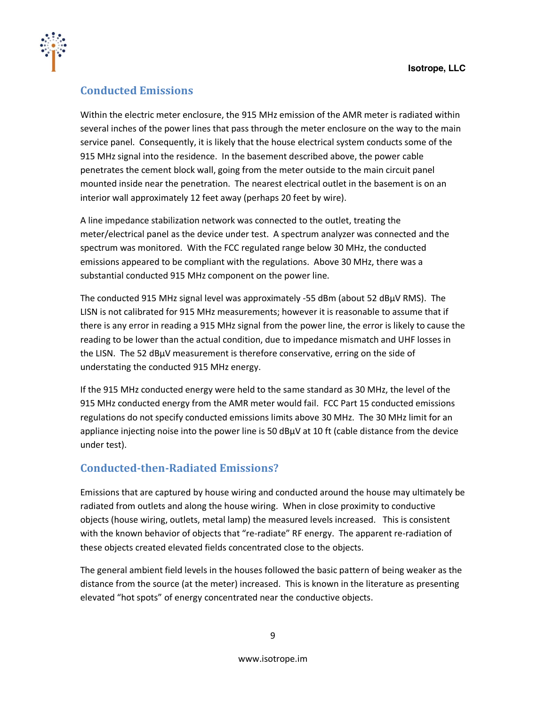

### <span id="page-8-0"></span>**Conducted,Emissions**

Within the electric meter enclosure, the 915 MHz emission of the AMR meter is radiated within several inches of the power lines that pass through the meter enclosure on the way to the main service panel. Consequently, it is likely that the house electrical system conducts some of the 915 MHz signal into the residence. In the basement described above, the power cable penetrates the cement block wall, going from the meter outside to the main circuit panel mounted inside near the penetration. The nearest electrical outlet in the basement is on an interior wall approximately 12 feet away (perhaps 20 feet by wire).

A line impedance stabilization network was connected to the outlet, treating the meter/electrical panel as the device under test. A spectrum analyzer was connected and the spectrum was monitored. With the FCC regulated range below 30 MHz, the conducted emissions appeared to be compliant with the regulations. Above 30 MHz, there was a substantial conducted 915 MHz component on the power line.

The conducted 915 MHz signal level was approximately -55 dBm (about 52 dBµV RMS). The LISN is not calibrated for 915 MHz measurements; however it is reasonable to assume that if there is any error in reading a 915 MHz signal from the power line, the error is likely to cause the reading to be lower than the actual condition, due to impedance mismatch and UHF losses in the LISN. The 52 dBµV measurement is therefore conservative, erring on the side of understating the conducted 915 MHz energy.

If the 915 MHz conducted energy were held to the same standard as 30 MHz, the level of the 915 MHz conducted energy from the AMR meter would fail. FCC Part 15 conducted emissions regulations do not specify conducted emissions limits above 30 MHz. The 30 MHz limit for an appliance injecting noise into the power line is 50  $dB\mu V$  at 10 ft (cable distance from the device under test).

#### <span id="page-8-1"></span>**Conducted-then-Radiated Emissions?**

Emissions that are captured by house wiring and conducted around the house may ultimately be radiated from outlets and along the house wiring. When in close proximity to conductive objects (house wiring, outlets, metal lamp) the measured levels increased. This is consistent with the known behavior of objects that "re-radiate" RF energy. The apparent re-radiation of these objects created elevated fields concentrated close to the objects.

The general ambient field levels in the houses followed the basic pattern of being weaker as the distance from the source (at the meter) increased. This is known in the literature as presenting elevated "hot spots" of energy concentrated near the conductive objects.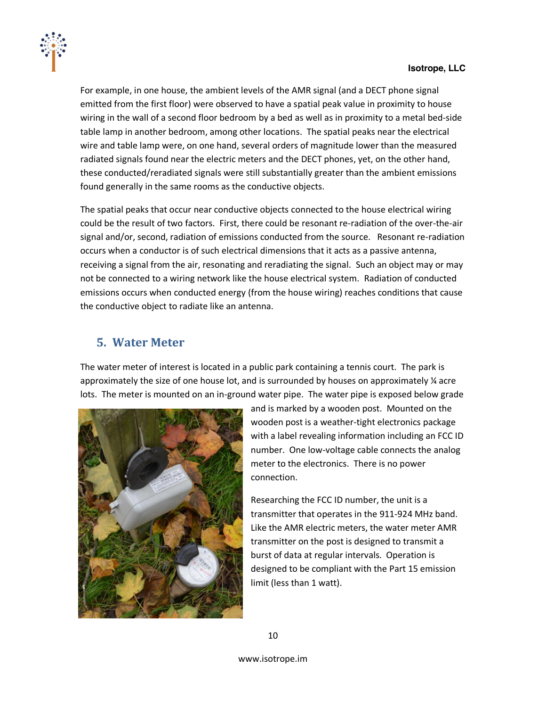

For example, in one house, the ambient levels of the AMR signal (and a DECT phone signal emitted from the first floor) were observed to have a spatial peak value in proximity to house wiring in the wall of a second floor bedroom by a bed as well as in proximity to a metal bed-side table lamp in another bedroom, among other locations. The spatial peaks near the electrical wire and table lamp were, on one hand, several orders of magnitude lower than the measured radiated signals found near the electric meters and the DECT phones, yet, on the other hand, these conducted/reradiated signals were still substantially greater than the ambient emissions found generally in the same rooms as the conductive objects.

The spatial peaks that occur near conductive objects connected to the house electrical wiring could be the result of two factors. First, there could be resonant re-radiation of the over-the-air signal and/or, second, radiation of emissions conducted from the source. Resonant re-radiation occurs when a conductor is of such electrical dimensions that it acts as a passive antenna, receiving a signal from the air, resonating and reradiating the signal. Such an object may or may not be connected to a wiring network like the house electrical system. Radiation of conducted emissions occurs when conducted energy (from the house wiring) reaches conditions that cause the conductive object to radiate like an antenna.

## <span id="page-9-0"></span>**5.** Water Meter

The water meter of interest is located in a public park containing a tennis court. The park is approximately the size of one house lot, and is surrounded by houses on approximately  $\frac{1}{4}$  acre lots. The meter is mounted on an in-ground water pipe. The water pipe is exposed below grade



and is marked by a wooden post. Mounted on the wooden post is a weather-tight electronics package with a label revealing information including an FCC ID number. One low-voltage cable connects the analog meter to the electronics. There is no power connection.

Researching the FCC ID number, the unit is a transmitter that operates in the 911-924 MHz band. Like the AMR electric meters, the water meter AMR transmitter on the post is designed to transmit a burst of data at regular intervals. Operation is designed to be compliant with the Part 15 emission limit (less than 1 watt).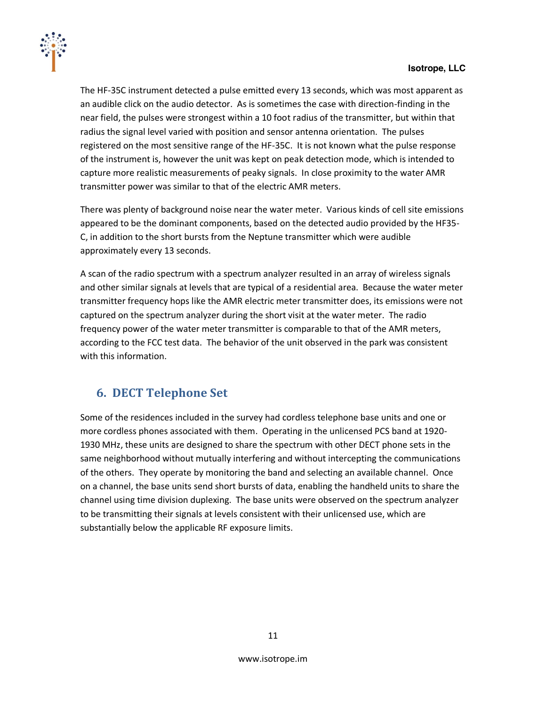

The HF-35C instrument detected a pulse emitted every 13 seconds, which was most apparent as an audible click on the audio detector. As is sometimes the case with direction-finding in the near field, the pulses were strongest within a 10 foot radius of the transmitter, but within that radius the signal level varied with position and sensor antenna orientation. The pulses registered on the most sensitive range of the HF-35C. It is not known what the pulse response of the instrument is, however the unit was kept on peak detection mode, which is intended to capture more realistic measurements of peaky signals. In close proximity to the water AMR transmitter power was similar to that of the electric AMR meters.

There was plenty of background noise near the water meter. Various kinds of cell site emissions appeared to be the dominant components, based on the detected audio provided by the HF35-C, in addition to the short bursts from the Neptune transmitter which were audible approximately every 13 seconds.

A scan of the radio spectrum with a spectrum analyzer resulted in an array of wireless signals and other similar signals at levels that are typical of a residential area. Because the water meter transmitter frequency hops like the AMR electric meter transmitter does, its emissions were not captured on the spectrum analyzer during the short visit at the water meter. The radio frequency power of the water meter transmitter is comparable to that of the AMR meters, according to the FCC test data. The behavior of the unit observed in the park was consistent with this information.

#### <span id="page-10-0"></span>**6. DECT,Telephone,Set**

Some of the residences included in the survey had cordless telephone base units and one or more cordless phones associated with them. Operating in the unlicensed PCS band at 1920-1930 MHz, these units are designed to share the spectrum with other DECT phone sets in the same neighborhood without mutually interfering and without intercepting the communications of the others. They operate by monitoring the band and selecting an available channel. Once on a channel, the base units send short bursts of data, enabling the handheld units to share the channel using time division duplexing. The base units were observed on the spectrum analyzer to be transmitting their signals at levels consistent with their unlicensed use, which are substantially below the applicable RF exposure limits.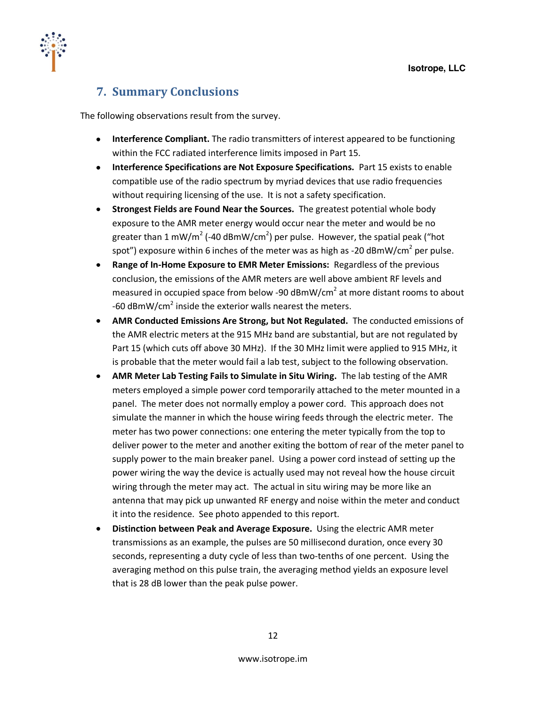

# <span id="page-11-0"></span>**7. Summary,Conclusions**

The following observations result from the survey.

- **Interference Compliant.** The radio transmitters of interest appeared to be functioning within the FCC radiated interference limits imposed in Part 15.
- **Interference Specifications are Not Exposure Specifications.** Part 15 exists to enable compatible use of the radio spectrum by myriad devices that use radio frequencies without requiring licensing of the use. It is not a safety specification.
- **Strongest Fields are Found Near the Sources.** The greatest potential whole body exposure to the AMR meter energy would occur near the meter and would be no greater than 1 mW/m<sup>2</sup> (-40 dBmW/cm<sup>2</sup>) per pulse. However, the spatial peak ("hot spot") exposure within 6 inches of the meter was as high as -20 dBmW/cm<sup>2</sup> per pulse.
- **Range of In-Home Exposure to EMR Meter Emissions:** Regardless of the previous conclusion, the emissions of the AMR meters are well above ambient RF levels and measured in occupied space from below -90 dBmW/cm<sup>2</sup> at more distant rooms to about -60  $d$ BmW/cm<sup>2</sup> inside the exterior walls nearest the meters.
- **AMR Conducted Emissions Are Strong, but Not Regulated.** The conducted emissions of the AMR electric meters at the 915 MHz band are substantial, but are not regulated by Part 15 (which cuts off above 30 MHz). If the 30 MHz limit were applied to 915 MHz, it is probable that the meter would fail a lab test, subject to the following observation.
- **AMR Meter Lab Testing Fails to Simulate in Situ Wiring.** The lab testing of the AMR meters employed a simple power cord temporarily attached to the meter mounted in a panel. The meter does not normally employ a power cord. This approach does not simulate the manner in which the house wiring feeds through the electric meter. The meter has two power connections: one entering the meter typically from the top to deliver power to the meter and another exiting the bottom of rear of the meter panel to supply power to the main breaker panel. Using a power cord instead of setting up the power wiring the way the device is actually used may not reveal how the house circuit wiring through the meter may act. The actual in situ wiring may be more like an antenna that may pick up unwanted RF energy and noise within the meter and conduct it into the residence. See photo appended to this report.
- **Distinction between Peak and Average Exposure.** Using the electric AMR meter transmissions as an example, the pulses are 50 millisecond duration, once every 30 seconds, representing a duty cycle of less than two-tenths of one percent. Using the averaging method on this pulse train, the averaging method yields an exposure level that is 28 dB lower than the peak pulse power.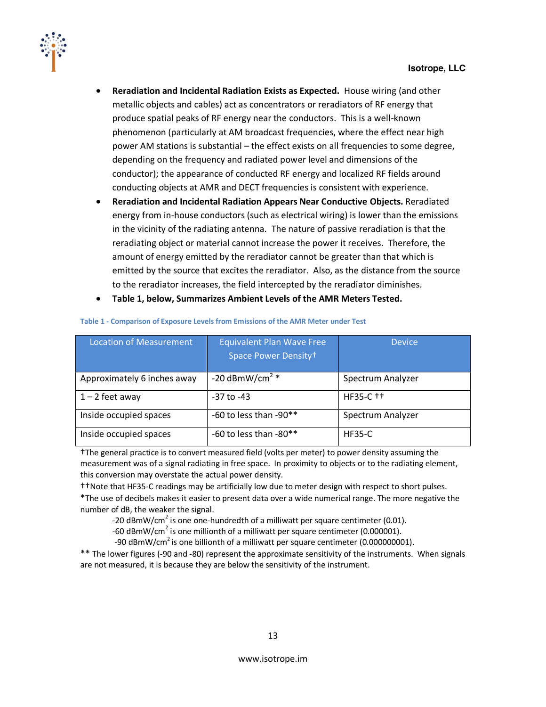

- **Reradiation and Incidental Radiation Exists as Expected.** House wiring (and other  $\bullet$ metallic objects and cables) act as concentrators or reradiators of RF energy that produce spatial peaks of RF energy near the conductors. This is a well-known phenomenon (particularly at AM broadcast frequencies, where the effect near high power AM stations is substantial – the effect exists on all frequencies to some degree, depending on the frequency and radiated power level and dimensions of the conductor); the appearance of conducted RF energy and localized RF fields around conducting objects at AMR and DECT frequencies is consistent with experience.
- **Reradiation and Incidental Radiation Appears Near Conductive Objects. Reradiated**  $\bullet$ energy from in-house conductors (such as electrical wiring) is lower than the emissions in the vicinity of the radiating antenna. The nature of passive reradiation is that the reradiating object or material cannot increase the power it receives. Therefore, the amount of energy emitted by the reradiator cannot be greater than that which is emitted by the source that excites the reradiator. Also, as the distance from the source to the reradiator increases, the field intercepted by the reradiator diminishes.
- Table 1, below, Summarizes Ambient Levels of the AMR Meters Tested.  $\bullet$

| <b>Location of Measurement</b> | <b>Equivalent Plan Wave Free</b><br>Space Power Density+ | <b>Device</b>     |
|--------------------------------|----------------------------------------------------------|-------------------|
| Approximately 6 inches away    | -20 dBmW/cm <sup>2</sup> $*$                             | Spectrum Analyzer |
| $1 - 2$ feet away              | $-37$ to $-43$                                           | HF35-C ++         |
| Inside occupied spaces         | -60 to less than -90**                                   | Spectrum Analyzer |
| Inside occupied spaces         | -60 to less than -80**                                   | <b>HF35-C</b>     |

#### Table 1 - Comparison of Exposure Levels from Emissions of the AMR Meter under Test

†The general practice is to convert measured field (volts per meter) to power density assuming the measurement was of a signal radiating in free space. In proximity to objects or to the radiating element, this conversion may overstate the actual power density.

ttNote that HF35-C readings may be artificially low due to meter design with respect to short pulses.

\*The use of decibels makes it easier to present data over a wide numerical range. The more negative the number of dB, the weaker the signal.

-20  $\text{dBmW/cm}^2$  is one one-hundredth of a milliwatt per square centimeter (0.01).

-60 dBmW/cm<sup>2</sup> is one millionth of a milliwatt per square centimeter (0.000001).

-90 dBmW/cm<sup>2</sup> is one billionth of a milliwatt per square centimeter (0.000000001).

\*\* The lower figures (-90 and -80) represent the approximate sensitivity of the instruments. When signals are not measured, it is because they are below the sensitivity of the instrument.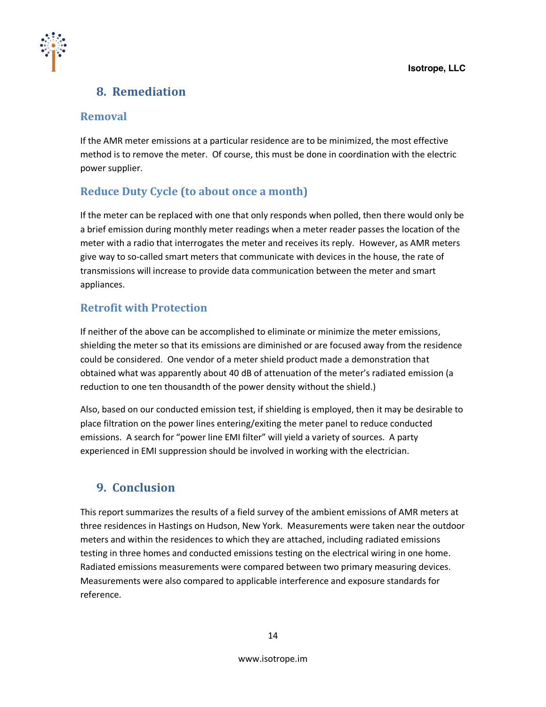

# <span id="page-13-0"></span>**8. Remediation**

#### <span id="page-13-1"></span>**Removal**

If the AMR meter emissions at a particular residence are to be minimized, the most effective method is to remove the meter. Of course, this must be done in coordination with the electric power supplier.

#### <span id="page-13-2"></span>**Reduce Duty Cycle (to about once a month)**

If the meter can be replaced with one that only responds when polled, then there would only be a brief emission during monthly meter readings when a meter reader passes the location of the meter with a radio that interrogates the meter and receives its reply. However, as AMR meters give way to so-called smart meters that communicate with devices in the house, the rate of transmissions will increase to provide data communication between the meter and smart appliances.

#### <span id="page-13-3"></span>**Retrofit with Protection**

If neither of the above can be accomplished to eliminate or minimize the meter emissions, shielding the meter so that its emissions are diminished or are focused away from the residence could be considered. One vendor of a meter shield product made a demonstration that obtained what was apparently about 40 dB of attenuation of the meter's radiated emission (a reduction to one ten thousandth of the power density without the shield.)

Also, based on our conducted emission test, if shielding is employed, then it may be desirable to place filtration on the power lines entering/exiting the meter panel to reduce conducted emissions. A search for "power line EMI filter" will yield a variety of sources. A party experienced in EMI suppression should be involved in working with the electrician.

# <span id="page-13-4"></span>**9. Conclusion**

This report summarizes the results of a field survey of the ambient emissions of AMR meters at three residences in Hastings on Hudson, New York. Measurements were taken near the outdoor meters and within the residences to which they are attached, including radiated emissions testing in three homes and conducted emissions testing on the electrical wiring in one home. Radiated emissions measurements were compared between two primary measuring devices. Measurements were also compared to applicable interference and exposure standards for reference.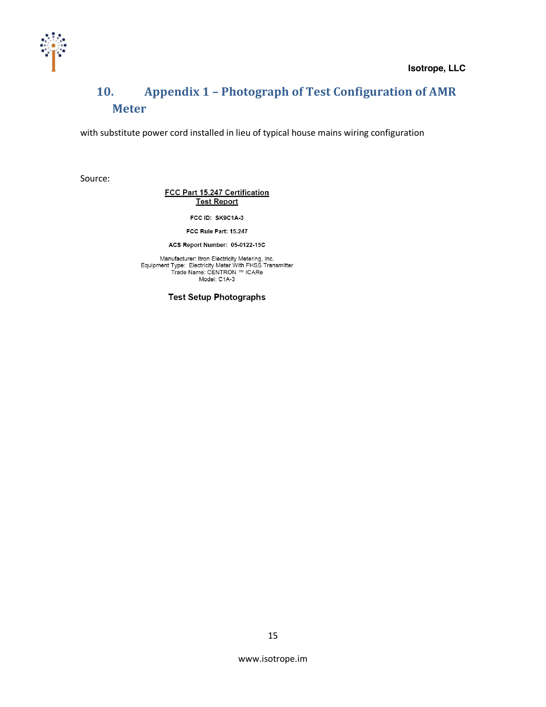

# <span id="page-14-0"></span>**10. Appendix 1 - Photograph of Test Configuration of AMR Meter**

with substitute power cord installed in lieu of typical house mains wiring configuration

Source:

FCC Part 15.247 Certification **Test Report** 

FCC ID: SK9C1A-3

FCC Rule Part: 15.247

ACS Report Number: 05-0122-15C

Manufacturer: Itron Electricity Metering, Inc.<br>Equipment Type: Electricity Meter With FHSS Transmitter<br>Trade Name: CENTRON ™ ICARe Model: C1A-3

**Test Setup Photographs**